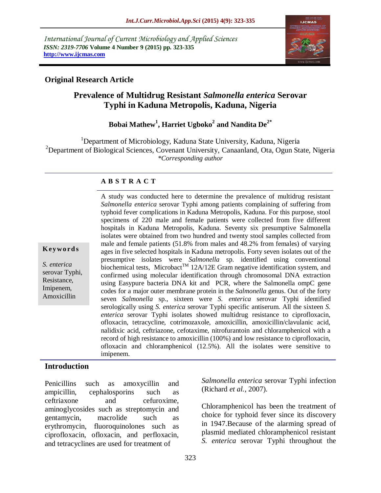*International Journal of Current Microbiology and Applied Sciences ISSN: 2319-7706* **Volume 4 Number 9 (2015) pp. 323-335 http://www.ijcmas.com** 



## **Original Research Article**

# **Prevalence of Multidrug Resistant** *Salmonella enterica* **Serovar Typhi in Kaduna Metropolis, Kaduna, Nigeria**

# **Bobai Mathew<sup>1</sup> , Harriet Ugboko<sup>2</sup> and Nandita De2\***

<sup>1</sup>Department of Microbiology, Kaduna State University, Kaduna, Nigeria <sup>2</sup>Department of Biological Sciences, Covenant University, Canaanland, Ota, Ogun State, Nigeria *\*Corresponding author*

## **A B S T R A C T**

**K ey w o rd s**

*S. enterica*  serovar Typhi, Resistance, Imipenem, Amoxicillin

*Salmonella enterica* serovar Typhi among patients complaining of suffering from typhoid fever complications in Kaduna Metropolis, Kaduna. For this purpose, stool specimens of 220 male and female patients were collected from five different hospitals in Kaduna Metropolis, Kaduna. Seventy six presumptive Salmonella isolates were obtained from two hundred and twenty stool samples collected from male and female patients (51.8% from males and 48.2% from females) of varying ages in five selected hospitals in Kaduna metropolis. Forty seven isolates out of the presumptive isolates were *Salmonella* sp. identified using conventional biochemical tests, Microbact<sup>TM</sup> 12A/12E Gram negative identification system, and confirmed using molecular identification through chromosomal DNA extraction using Easypure bacteria DNA kit and PCR, where the Salmonella ompC gene codes for a major outer membrane protein in the *Salmonella* genus. Out of the forty seven *Salmonella* sp., sixteen were *S. enterica* serovar Typhi identified serologically using *S. enterica* serovar Typhi specific antiserum. All the sixteen *S. enterica* serovar Typhi isolates showed multidrug resistance to ciprofloxacin, ofloxacin, tetracycline, cotrimozaxole, amoxicillin, amoxicillin/clavulanic acid, nalidixic acid, ceftriazone, cefotaxime, nitrofurantoin and chloramphenicol with a record of high resistance to amoxicillin (100%) and low resistance to ciprofloxacin, ofloxacin and chloramphenicol (12.5%). All the isolates were sensitive to imipenem.

A study was conducted here to determine the prevalence of multidrug resistant

## **Introduction**

Penicillins such as amoxycillin and ampicillin, cephalosporins such as ceftriaxone and cefuroxime, aminoglycosides such as streptomycin and gentamycin, macrolide such as erythromycin, fluoroquinolones such as ciprofloxacin, ofloxacin, and perfloxacin, and tetracyclines are used for treatment of

*Salmonella enterica* serovar Typhi infection (Richard *et al.,* 2007).

Chloramphenicol has been the treatment of choice for typhoid fever since its discovery in 1947.Because of the alarming spread of plasmid mediated chloramphenicol resistant *S. enterica* serovar Typhi throughout the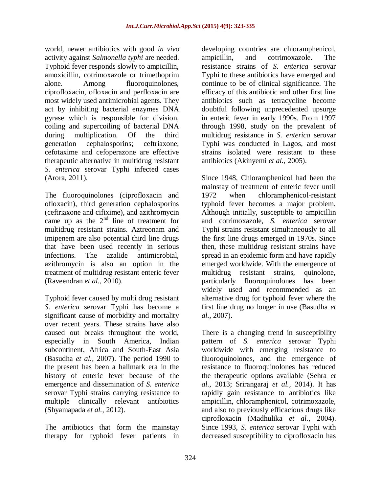world, newer antibiotics with good *in vivo* activity against *Salmonella typhi* are needed. Typhoid fever responds slowly to ampicillin, amoxicillin, cotrimoxazole or trimethoprim alone. Among fluoroquinolones, ciprofloxacin, ofloxacin and perfloxacin are most widely used antimicrobial agents. They act by inhibiting bacterial enzymes DNA gyrase which is responsible for division, coiling and supercoiling of bacterial DNA during multiplication. Of the third generation cephalosporins; ceftriaxone, cefotaxime and cefoperazone are effective therapeutic alternative in multidrug resistant *S. enterica* serovar Typhi infected cases (Arora, 2011).

The fluoroquinolones (ciprofloxacin and ofloxacin), third generation cephalosporins (ceftriaxone and cifixime), and azithromycin came up as the  $2<sup>nd</sup>$  line of treatment for multidrug resistant strains. Aztreonam and imipenem are also potential third line drugs that have been used recently in serious infections. The azalide antimicrobial, azithromycin is also an option in the treatment of multidrug resistant enteric fever (Raveendran *et al.,* 2010).

Typhoid fever caused by multi drug resistant *S. enterica* serovar Typhi has become a significant cause of morbidity and mortality over recent years. These strains have also caused out breaks throughout the world, especially in South America, Indian subcontinent, Africa and South-East Asia (Basudha *et al.,* 2007). The period 1990 to the present has been a hallmark era in the history of enteric fever because of the emergence and dissemination of *S. enterica*  serovar Typhi strains carrying resistance to multiple clinically relevant antibiotics (Shyamapada *et al.,* 2012).

The antibiotics that form the mainstay therapy for typhoid fever patients in developing countries are chloramphenicol, ampicillin, and cotrimoxazole. The resistance strains of *S. enterica* serovar Typhi to these antibiotics have emerged and continue to be of clinical significance. The efficacy of this antibiotic and other first line antibiotics such as tetracycline become doubtful following unprecedented upsurge in enteric fever in early 1990s. From 1997 through 1998, study on the prevalent of multidrug resistance in *S. enterica* serovar Typhi was conducted in Lagos, and most strains isolated were resistant to these antibiotics (Akinyemi *et al.,* 2005).

Since 1948, Chloramphenicol had been the mainstay of treatment of enteric fever until 1972 when chloramphenicol-resistant typhoid fever becomes a major problem. Although initially, susceptible to ampicillin and cotrimoxazole, *S. enterica* serovar Typhi strains resistant simultaneously to all the first line drugs emerged in 1970s. Since then, these multidrug resistant strains have spread in an epidemic form and have rapidly emerged worldwide. With the emergence of multidrug resistant strains, quinolone, particularly fluoroquinolones has been widely used and recommended as an alternative drug for typhoid fever where the first line drug no longer in use (Basudha *et al.,* 2007).

There is a changing trend in susceptibility pattern of *S. enterica* serovar Typhi worldwide with emerging resistance to fluoroquinolones, and the emergence of resistance to fluoroquinolones has reduced the therapeutic options available (Sehra *et al.,* 2013; Srirangaraj *et al.,* 2014). It has rapidly gain resistance to antibiotics like ampicillin, chloramphenicol, cotrimoxazole, and also to previously efficacious drugs like ciprofloxacin (Madhulika *et al.,* 2004). Since 1993, *S. enterica* serovar Typhi with decreased susceptibility to ciprofloxacin has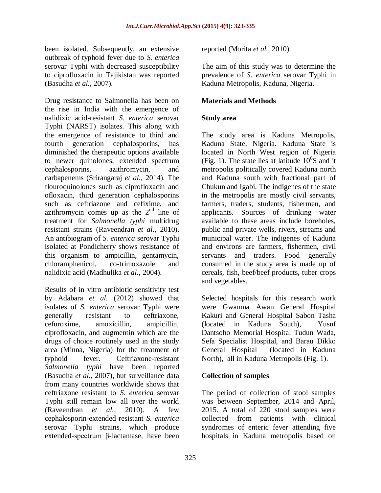been isolated. Subsequently, an extensive outbreak of typhoid fever due to *S. enterica*  serovar Typhi with decreased susceptibility to ciprofloxacin in Tajikistan was reported (Basudha *et al.,* 2007).

Drug resistance to Salmonella has been on the rise in India with the emergence of nalidixic acid-resistant *S. enterica* serovar Typhi (NARST) isolates. This along with the emergence of resistance to third and fourth generation cephalosporins, has diminished the therapeutic options available to newer quinolones, extended spectrum cephalosporins, azithromycin, and carbapenems (Srirangaraj *et al.,* 2014). The flouroquinolones such as ciprofloxacin and ofloxacin, third generation cephalosporins such as ceftriazone and cefixime, and azithromycin comes up as the  $2<sup>nd</sup>$  line of treatment for *Salmonella typhi* multidrug resistant strains (Raveendran *et al.,* 2010). An antibiogram of *S. enterica* serovar Typhi isolated at Pondicherry shows resistance of this organism to ampicillin, gentamycin, chloramphenicol, co-trimoxazole and nalidixic acid (Madhulika *et al.,* 2004).

Results of in vitro antibiotic sensitivity test by Adabara *et al.* (2012) showed that isolates of *S. enterica* serovar Typhi were generally resistant to ceftriaxone, cefuroxime, amoxicillin, ampicillin, ciprofloxacin, and augmentin which are the drugs of choice routinely used in the study area (Minna, Nigeria) for the treatment of typhoid fever. Ceftriaxone-resistant *Salmonella typhi* have been reported (Basudha *et al.,* 2007), but surveillance data from many countries worldwide shows that ceftriaxone resistant to *S. enterica* serovar Typhi still remain low all over the world (Raveendran *et al.,* 2010). A few cephalosporin-extended resistant *S. enterica*  serovar Typhi strains, which produce extended-spectrum β-lactamase, have been

reported (Morita *et al.,* 2010).

The aim of this study was to determine the prevalence of *S. enterica* serovar Typhi in Kaduna Metropolis, Kaduna, Nigeria.

## **Materials and Methods**

## **Study area**

The study area is Kaduna Metropolis, Kaduna State, Nigeria. Kaduna State is located in North West region of Nigeria (Fig. 1). The state lies at latitude  $10^0$ S and it metropolis politically covered Kaduna north and Kaduna south with fractional part of Chukun and Igabi. The indigenes of the state in the metropolis are mostly civil servants, farmers, traders, students, fishermen, and applicants. Sources of drinking water available to these areas include boreholes, public and private wells, rivers, streams and municipal water. The indigenes of Kaduna and environs are farmers, fishermen, civil servants and traders. Food generally consumed in the study area is made up of cereals, fish, beef/beef products, tuber crops and vegetables.

Selected hospitals for this research work were Gwamna Awan General Hospital Kakuri and General Hospital Sabon Tasha (located in Kaduna South), Yusuf Dantsoho Memorial Hospital Tudun Wada, Sefa Specialist Hospital, and Barau Dikko General Hospital (located in Kaduna North), all in Kaduna Metropolis (Fig. 1).

## **Collection of samples**

The period of collection of stool samples was between September, 2014 and April, 2015. A total of 220 stool samples were collected from patients with clinical syndromes of enteric fever attending five hospitals in Kaduna metropolis based on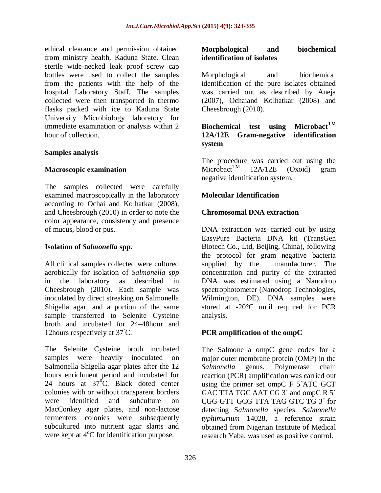ethical clearance and permission obtained from ministry health, Kaduna State. Clean sterile wide-necked leak proof screw cap bottles were used to collect the samples from the patients with the help of the hospital Laboratory Staff. The samples collected were then transported in thermo flasks packed with ice to Kaduna State University Microbiology laboratory for immediate examination or analysis within 2 hour of collection.

#### **Samples analysis**

### **Macroscopic examination**

The samples collected were carefully examined macroscopically in the laboratory according to Ochai and Kolhatkar (2008), and Cheesbrough (2010) in order to note the color appearance, consistency and presence of mucus, blood or pus.

#### **Isolation of** *Salmonella* **spp.**

All clinical samples collected were cultured aerobically for isolation of *Salmonella spp* in the laboratory as described in Cheesbrough (2010). Each sample was inoculated by direct streaking on Salmonella Shigella agar, and a portion of the same sample transferred to Selenite Cysteine broth and incubated for 24–48hour and 12hours respectively at 37°C.

The Selenite Cysteine broth incubated samples were heavily inoculated on Salmonella Shigella agar plates after the 12 hours enrichment period and incubated for 24 hours at  $37^{\circ}$ C. Black doted center colonies with or without transparent borders were identified and subculture on MacConkey agar plates, and non-lactose fermenters colonies were subsequently subcultured into nutrient agar slants and were kept at  $4^{\circ}$ C for identification purpose.

### **Morphological and biochemical identification of isolates**

Morphological and biochemical identification of the pure isolates obtained was carried out as described by Aneja (2007), Ochaiand Kolhatkar (2008) and Cheesbrough (2010).

## **Biochemical test using MicrobactTM 12A/12E Gram-negative identification system**

The procedure was carried out using the Microbact<sup>TM</sup> 12A/12E (Oxoid) gram negative identification system.

### **Molecular Identification**

### **Chromosomal DNA extraction**

DNA extraction was carried out by using EasyPure Bacteria DNA kit (TransGen Biotech Co., Ltd, Beijing, China), following the protocol for gram negative bacteria supplied by the manufacturer. The concentration and purity of the extracted DNA was estimated using a Nanodrop spectrophotometer (Nanodrop Technologies, Wilmington, DE). DNA samples were stored at -20°C until required for PCR analysis.

#### **PCR amplification of the ompC**

The Salmonella ompC gene codes for a major outer membrane protein (OMP) in the *Salmonella* genus. Polymerase chain reaction (PCR) amplification was carried out using the primer set ompC F 5´ATC GCT GAC TTA TGC AAT CG 3' and ompC R 5' CGG GTT GCG TTA TAG GTC TG 3´ for detecting S*almonella* species. *Salmonella typhimurium* 14028, a reference strain obtained from Nigerian Institute of Medical research Yaba, was used as positive control.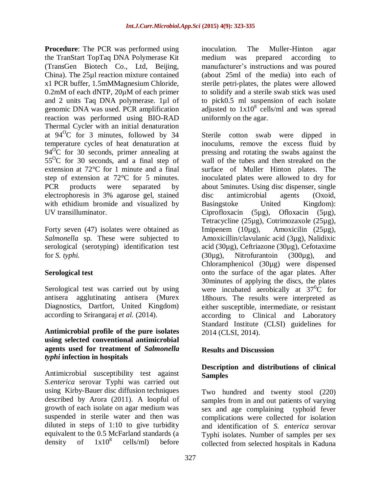**Procedure**: The PCR was performed using the TranStart TopTaq DNA Polymerase Kit (TransGen Biotech Co., Ltd, Beijing, China). The 25µl reaction mixture contained x1 PCR buffer, 1.5mMMagnesium Chloride, 0.2mM of each dNTP, 20µM of each primer and 2 units Taq DNA polymerase. 1µl of genomic DNA was used. PCR amplification reaction was performed using BIO-RAD Thermal Cycler with an initial denaturation at  $94^{\circ}$ C for 3 minutes, followed by 34 temperature cycles of heat denaturation at  $94^{\circ}$ C for 30 seconds, primer annealing at  $55^{\circ}$ C for 30 seconds, and a final step of extension at 72°C for 1 minute and a final step of extension at 72°C for 5 minutes. PCR products were separated by electrophoresis in 3% agarose gel, stained with ethidium bromide and visualized by UV transilluminator.

Forty seven (47) isolates were obtained as *Salmonella* sp. These were subjected to serological (serotyping) identification test for *S. typhi.*

## **Serological test**

Serological test was carried out by using antisera agglutinating antisera (Murex Diagnostics, Dartfort, United Kingdom) according to Srirangaraj *et al.* (2014).

### **Antimicrobial profile of the pure isolates using selected conventional antimicrobial agents used for treatment of** *Salmonella typhi* **infection in hospitals**

Antimicrobial susceptibility test against *S.enterica* serovar Typhi was carried out using Kirby-Bauer disc diffusion techniques described by Arora (2011). A loopful of growth of each isolate on agar medium was suspended in sterile water and then was diluted in steps of 1:10 to give turbidity equivalent to the 0.5 McFarland standards (a density of  $1x10^8$  cells/ml) before density of cells/ml) before

inoculation. The Muller-Hinton agar medium was prepared according to manufacturer's instructions and was poured (about 25ml of the media) into each of sterile petri-plates, the plates were allowed to solidify and a sterile swab stick was used to pick0.5 ml suspension of each isolate adjusted to  $1x10^8$  cells/ml and was spread uniformly on the agar.

Sterile cotton swab were dipped in inoculums, remove the excess fluid by pressing and rotating the swabs against the wall of the tubes and then streaked on the surface of Muller Hinton plates. The inoculated plates were allowed to dry for about 5minutes. Using disc dispenser, single disc antimicrobial agents (Oxoid, Basingstoke United Kingdom): Ciprofloxacin (5µg), Ofloxacin (5µg), Tetracycline (25µg), Cotrimozaxole (25µg), Imipenem (10µg), Amoxicilin (25µg), Amoxicillin/clavulanic acid (3µg), Nalidixic acid (30µg), Ceftriazone (30µg), Cefotaxime (30µg), Nitrofurantoin (300µg), and Chloramphenicol (30µg) were dispensed onto the surface of the agar plates. After 30minutes of applying the discs, the plates were incubated aerobically at  $37^0C$  for 18hours. The results were interpreted as either susceptible, intermediate, or resistant according to Clinical and Laboratory Standard Institute (CLSI) guidelines for 2014 (CLSI, 2014).

# **Results and Discussion**

## **Description and distributions of clinical Samples**

Two hundred and twenty stool (220) samples from in and out patients of varying sex and age complaining typhoid fever complications were collected for isolation and identification of *S. enterica* serovar Typhi isolates. Number of samples per sex collected from selected hospitals in Kaduna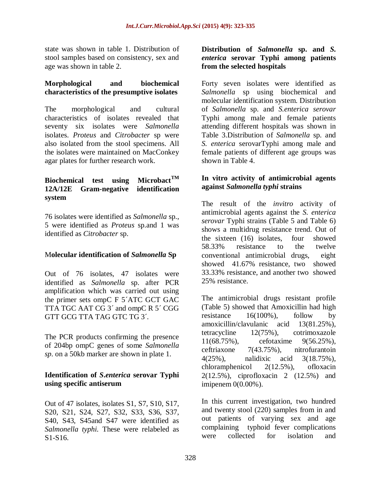state was shown in table 1. Distribution of stool samples based on consistency, sex and age was shown in table 2.

## **Morphological and biochemical characteristics of the presumptive isolates**

The morphological and cultural characteristics of isolates revealed that seventy six isolates were *Salmonella* isolates. *Proteus* and *Citrobacter* sp were also isolated from the stool specimens. All the isolates were maintained on MacConkey agar plates for further research work.

## **Biochemical test using MicrobactTM 12A/12E Gram-negative identification system**

76 isolates were identified as *Salmonella* sp., 5 were identified as *Proteus* sp.and 1 was identified as *Citrobacter* sp.

## M**olecular identification of** *Salmonella* **Sp**

Out of 76 isolates, 47 isolates were identified as *Salmonella* sp. after PCR amplification which was carried out using the primer sets ompC F 5´ATC GCT GAC TTA TGC AAT CG 3<sup>'</sup> and ompC R 5<sup>'</sup> CGG GTT GCG TTA TAG GTC TG 3´.

The PCR products confirming the presence of 204bp ompC genes of some *Salmonella sp*. on a 50kb marker are shown in plate 1.

## **Identification of** *S***.***enterica* **serovar Typhi using specific antiserum**

Out of 47 isolates, isolates S1, S7, S10, S17, S20, S21, S24, S27, S32, S33, S36, S37, S40, S43, S45and S47 were identified as *Salmonella typhi.* These were relabeled as S1-S16.

## **Distribution of** *Salmonella* **sp. and** *S. enterica* **serovar Typhi among patients from the selected hospitals**

Forty seven isolates were identified as *Salmonella* sp using biochemical and molecular identification system. Distribution of *Salmonella* sp. and *S.enterica serovar*  Typhi among male and female patients attending different hospitals was shown in Table 3.Distribution of *Salmonella* sp. and *S. enterica* serovarTyphi among male and female patients of different age groups was shown in Table 4.

## **In vitro activity of antimicrobial agents against** *Salmonella typhi* **strains**

The result of the *invitro* activity of antimicrobial agents against the *S. enterica serovar* Typhi strains (Table 5 and Table 6) shows a multidrug resistance trend. Out of the sixteen (16) isolates, four showed 58.33% resistance to the twelve conventional antimicrobial drugs, eight showed 41.67% resistance, two showed 33.33% resistance, and another two showed 25% resistance.

The antimicrobial drugs resistant profile (Table 5) showed that Amoxicillin had high resistance  $16(100\%)$ , follow by amoxicillin/clavulanic acid 13(81.25%), tetracycline 12(75%), cotrimoxazole 11(68.75%), cefotaxime 9(56.25%), ceftriaxone 7(43.75%), nitrofurantoin 4(25%), nalidixic acid 3(18.75%), chloramphenicol 2(12.5%), ofloxacin 2(12.5%), ciprofloxacin 2 (12.5%) and imipenem 0(0.00%).

In this current investigation, two hundred and twenty stool (220) samples from in and out patients of varying sex and age complaining typhoid fever complications were collected for isolation and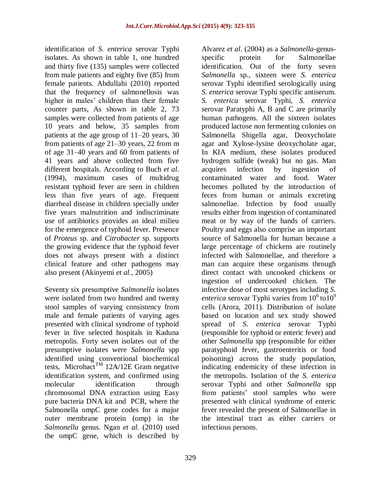identification of *S. enterica* serovar Typhi isolates. As shown in table 1, one hundred and thirty five (135) samples were collected from male patients and eighty five (85) from female patients. Abdullahi (2010) reported that the frequency of salmonellosis was higher in males' children than their female counter parts, As shown in table 2, 73 samples were collected from patients of age 10 years and below, 35 samples from patients at the age group of 11–20 years, 30 from patients of age 21–30 years, 22 from m of age 31–40 years and 60 from patients of 41 years and above collected from five different hospitals. According to Buch *et al.*  (1994), maximum cases of multidrug resistant typhoid fever are seen in children less than five years of age. Frequent diarrheal disease in children specially under five years malnutrition and indiscriminate use of antibiotics provides an ideal milieu for the emergence of typhoid fever. Presence of *Proteus* sp. and *Citrobacter* sp. supports the growing evidence that the typhoid fever does not always present with a distinct clinical feature and other pathogens may also present (Akinyemi *et al.,* 2005)

Seventy six presumptive *Salmonella* isolates were isolated from two hundred and twenty stool samples of varying consistency from male and female patients of varying ages presented with clinical syndrome of typhoid fever in five selected hospitals in Kaduna metropolis. Forty seven isolates out of the presumptive isolates were *Salmonella* spp identified using conventional biochemical tests, Microbact<sup>TM</sup> 12A/12E Gram negative identification system, and confirmed using molecular identification through chromosomal DNA extraction using Easy pure bacteria DNA kit and PCR, where the Salmonella ompC gene codes for a major outer membrane protein (omp) in the *Salmonella* genus. Ngan *et al.* (2010) used the ompC gene, which is described by

Alvarez *et al.* (2004) as a *Salmonella*-genusspecific protein for Salmonellae identification. Out of the forty seven *Salmonella* sp., sixteen were *S. enterica*  serovar Typhi identified serologically using *S. enterica* serovar Typhi specific antiserum. *S. enterica* serovar Typhi*, S. enterica*  serovar Paratyphi A, B and C are primarily human pathogens. All the sixteen isolates produced lactose non fermenting colonies on Salmonella Shigella agar, Deoxycholate agar and Xylose-lysine deoxycholate agar, In KIA medium, these isolates produced hydrogen sulfide (weak) but no gas. Man acquires infection by ingestion of contaminated water and food. Water becomes polluted by the introduction of feces from human or animals excreting salmonellae. Infection by food usually results either from ingestion of contaminated meat or by way of the hands of carriers. Poultry and eggs also comprise an important source of Salmonella for human because a large percentage of chickens are routinely infected with Salmonellae, and therefore a man can acquire these organisms through direct contact with uncooked chickens or ingestion of undercooked chicken. The infective dose of most serotypes including *S. enterica* serovar Typhi varies from  $10^6$  to  $10^9$ cells (Arora, 2011). Distribution of isolate based on location and sex study showed spread of *S. enterica* serovar Typhi (responsible for typhoid or enteric fever) and other *Salmonella* spp (responsible for either paratyphoid fever, gastroenteritis or food poisoning) across the study population, indicating endemicity of these infection in the metropolis. Isolation of the *S. enterica*  serovar Typhi and other *Salmonella* spp from patients' stool samples who were presented with clinical syndrome of enteric fever revealed the present of Salmonellae in the intestinal tract as either carriers or infectious persons.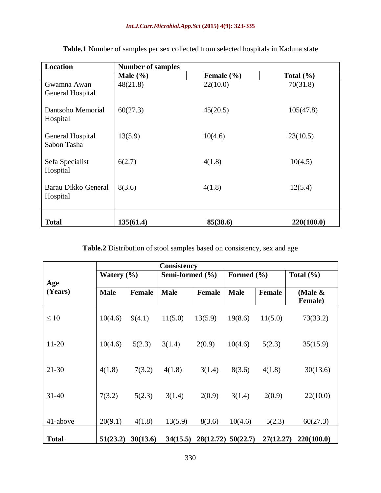#### *Int.J.Curr.Microbiol.App.Sci* **(2015) 4(9): 323-335**

| <b>Location</b>                 | <b>Number of samples</b> |                |               |  |  |  |  |  |  |
|---------------------------------|--------------------------|----------------|---------------|--|--|--|--|--|--|
|                                 | Male $(\% )$             | Female $(\% )$ | Total $(\% )$ |  |  |  |  |  |  |
| Gwamna Awan<br>General Hospital | 48(21.8)                 | 22(10.0)       | 70(31.8)      |  |  |  |  |  |  |
| Dantsoho Memorial<br>Hospital   | 60(27.3)                 | 45(20.5)       | 105(47.8)     |  |  |  |  |  |  |
| General Hospital<br>Sabon Tasha | 13(5.9)                  | 10(4.6)        | 23(10.5)      |  |  |  |  |  |  |
| Sefa Specialist<br>Hospital     | 6(2.7)                   | 4(1.8)         | 10(4.5)       |  |  |  |  |  |  |
| Barau Dikko General<br>Hospital | 8(3.6)                   | 4(1.8)         | 12(5.4)       |  |  |  |  |  |  |
| <b>Total</b>                    | 135(61.4)                | 85(38.6)       | 220(100.0)    |  |  |  |  |  |  |

**Table.1** Number of samples per sex collected from selected hospitals in Kaduna state

# **Table.2** Distribution of stool samples based on consistency, sex and age

|                | Consistency    |          |                     |               |                      |               |                               |  |  |  |  |  |  |  |
|----------------|----------------|----------|---------------------|---------------|----------------------|---------------|-------------------------------|--|--|--|--|--|--|--|
| Age<br>(Years) | Watery $(\% )$ |          | Semi-formed $(\% )$ |               | Formed $(\% )$       |               | Total $(\% )$                 |  |  |  |  |  |  |  |
|                | <b>Male</b>    | Female   | <b>Male</b>         | <b>Female</b> | <b>Male</b>          | <b>Female</b> | (Male $\&$<br><b>Female</b> ) |  |  |  |  |  |  |  |
| $\leq 10$      | 10(4.6)        | 9(4.1)   | 11(5.0)             | 13(5.9)       | 19(8.6)              | 11(5.0)       | 73(33.2)                      |  |  |  |  |  |  |  |
| $11 - 20$      | 10(4.6)        | 5(2.3)   | 3(1.4)              | 2(0.9)        | 10(4.6)              | 5(2.3)        | 35(15.9)                      |  |  |  |  |  |  |  |
| $21 - 30$      | 4(1.8)         | 7(3.2)   | 4(1.8)              | 3(1.4)        | 8(3.6)               | 4(1.8)        | 30(13.6)                      |  |  |  |  |  |  |  |
| $31 - 40$      | 7(3.2)         | 5(2.3)   | 3(1.4)              | 2(0.9)        | 3(1.4)               | 2(0.9)        | 22(10.0)                      |  |  |  |  |  |  |  |
| 41-above       | 20(9.1)        | 4(1.8)   | 13(5.9)             | 8(3.6)        | 10(4.6)              | 5(2.3)        | 60(27.3)                      |  |  |  |  |  |  |  |
| <b>Total</b>   | 51(23.2)       | 30(13.6) | 34(15.5)            |               | $28(12.72)$ 50(22.7) | 27(12.27)     | 220(100.0)                    |  |  |  |  |  |  |  |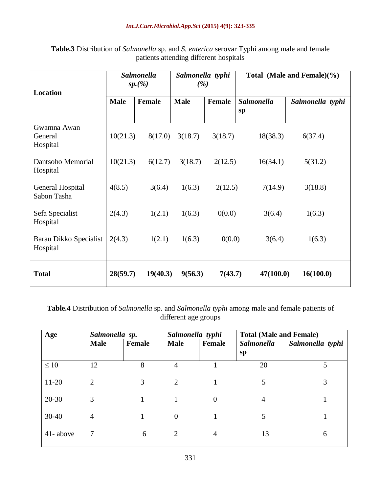| <b>Location</b>                    |                     | <b>Salmonella</b><br>sp.(%) | Salmonella typhi<br>(%) |               | Total (Male and Female) $(\% )$ |                  |  |  |  |
|------------------------------------|---------------------|-----------------------------|-------------------------|---------------|---------------------------------|------------------|--|--|--|
|                                    | <b>Male</b>         | <b>Female</b>               | <b>Male</b>             | <b>Female</b> | <b>Salmonella</b><br>sp         | Salmonella typhi |  |  |  |
| Gwamna Awan<br>General<br>Hospital | 10(21.3)<br>8(17.0) |                             | 3(18.7)                 | 3(18.7)       | 18(38.3)                        | 6(37.4)          |  |  |  |
| Dantsoho Memorial<br>Hospital      | 10(21.3)            | 6(12.7)                     | 3(18.7)                 | 2(12.5)       | 16(34.1)                        | 5(31.2)          |  |  |  |
| General Hospital<br>Sabon Tasha    | 4(8.5)              | 3(6.4)                      | 1(6.3)                  | 2(12.5)       | 7(14.9)                         | 3(18.8)          |  |  |  |
| Sefa Specialist<br>Hospital        | 2(4.3)<br>1(2.1)    |                             | 1(6.3)                  | 0(0.0)        | 3(6.4)                          | 1(6.3)           |  |  |  |
| Barau Dikko Specialist<br>Hospital | 2(4.3)              | 1(2.1)                      | 1(6.3)                  | 0(0.0)        | 3(6.4)                          | 1(6.3)           |  |  |  |
| <b>Total</b>                       | 28(59.7)            | 19(40.3)                    | 9(56.3)                 | 7(43.7)       | 47(100.0)                       | 16(100.0)        |  |  |  |

**Table.3** Distribution of *Salmonella* sp. and *S. enterica* serovar Typhi among male and female patients attending different hospitals

**Table.4** Distribution of *Salmonella* sp. and *Salmonella typhi* among male and female patients of different age groups

| Age       | Salmonella sp. |               |                | Salmonella typhi | <b>Total (Male and Female)</b> |                  |  |  |  |  |
|-----------|----------------|---------------|----------------|------------------|--------------------------------|------------------|--|--|--|--|
|           | <b>Male</b>    | <b>Female</b> | <b>Male</b>    | Female           | Salmonella                     | Salmonella typhi |  |  |  |  |
|           |                |               |                |                  | sp                             |                  |  |  |  |  |
| $\leq 10$ | 12             | 8             | $\overline{4}$ |                  | 20                             | 5                |  |  |  |  |
| $11 - 20$ | $\overline{2}$ | 3             | 2              |                  | 5                              | 3                |  |  |  |  |
| $20 - 30$ | 3              |               |                | $\theta$         | 4                              |                  |  |  |  |  |
| $30 - 40$ | $\overline{4}$ |               | $\theta$       |                  | 5                              |                  |  |  |  |  |
| 41-above  | $\overline{7}$ | 6             | 2              | 4                | 13                             | 6                |  |  |  |  |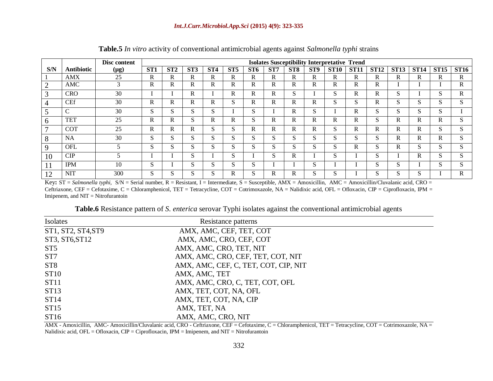|              |                   | Disc content | <b>Isolates Susceptibility Interpretative Trend</b> |         |                 |              |              |        |              |                 |                 |              |             |              |             |               |             |             |
|--------------|-------------------|--------------|-----------------------------------------------------|---------|-----------------|--------------|--------------|--------|--------------|-----------------|-----------------|--------------|-------------|--------------|-------------|---------------|-------------|-------------|
| S/N          | <b>Antibiotic</b> | (µg)         | ST <sub>1</sub>                                     | ST2     | ST <sub>3</sub> | ST4          | ST5          | ST6    | ST7          | ST <sub>8</sub> | ST <sub>9</sub> | <b>ST10</b>  | <b>ST11</b> | <b>ST12</b>  | <b>ST13</b> | <b>ST14</b>   | <b>ST15</b> | <b>ST16</b> |
|              | <b>AMX</b>        | 25           | R                                                   | R       | R               | R.           | R            | R      | $\mathbb{R}$ | R               | R               | R            | R.          | R            | R           | R             | R           | R           |
|              | AMC               | 3            | R                                                   | R       | R               | R.           | R            | R      | R            | R               | R               | R            | R.          | R            |             |               |             | R           |
|              | CRO               | 30           |                                                     |         | R               |              | R            | R      | R            | S               |                 | S.           | R.          | R            | S           |               | S           | R.          |
|              | <b>CEf</b>        | 30           | R                                                   | R       | R               | R.           | S            | R      | R            | R               | R               | S            | C<br>S      | $\mathbb{R}$ | S           | $\sim$<br>О.  | S           | S           |
|              | $\mathcal{C}$     | 30           | S                                                   | S       | S               | $\sim$<br>S. |              | S      |              | R               | S               |              | R.          | S            | S           | $\sim$<br>эX, | S           |             |
| <sub>0</sub> | <b>TET</b>        | 25           | R                                                   | R       | S               | R            | R            | S.     | R            | R               | R               | R            | R.          | S            | R           | R             | R           | S           |
|              | <b>COT</b>        | 25           | R                                                   | R       | R               | $\sim$<br>Э. | $\sim$<br>S. | R.     | R            | R               | R               | $\sim$<br>S  | R.          | R            | R           | R             | S           | S           |
| 8            | <b>NA</b>         | 30           | S                                                   | S       | S               | C<br>S.      | $\sim$<br>S  | S      | S            | S               | S               | S.           | S           | S            | R           | R             | R           | S           |
| -9           | <b>OFL</b>        |              | S                                                   | S       | S               | C<br>S.      | C<br>S       | S      | S            | S               | S               | r<br>S       | R           | S            | R           | $\sim$<br>S   | S           | S           |
| 10           | CIP               |              |                                                     |         | S               |              | $\sim$<br>S  |        | S            | R               |                 | $\sim$<br>N. |             | S            |             | R             | S           | S           |
| 1 I          | <b>IPM</b>        | 10           | S                                                   |         | S               | $\sim$<br>Э. | ົ<br>S       | S      |              |                 | S               |              |             | S            | S           |               | S           | S           |
| 12           | <b>NIT</b>        | 300          | S                                                   | U<br>Ъ. | S               | $\sim$<br>G. | R            | n<br>S | R            | R               | S               | r<br>G.      |             | S            | S           | $\sim$<br>C.  |             | R           |

**Table.5** *In vitro* activity of conventional antimicrobial agents against *Salmonella typhi* strains

Key; ST = *Salmonella typhi*, S/N = Serial number, R = Resistant, I = Intermediate, S = Susceptible, AMX = Amoxicillin, AMC = Amoxicillin/Cluvalanic acid, CRO = Ceftriaxone, CEF = Cefotaxime, C = Chloramphenicol, TET = Tetracycline, COT = Cotrimoxazole, NA = Nalidixic acid, OFL = Ofloxacin, CIP = Ciprofloxacin, IPM = Imipenem, and NIT = Nitrofurantoin

**Table.6** Resistance pattern of *S*. *enterica* serovar Typhi isolates against the conventional antimicrobial agents

| Isolates           | Resistance patterns                  |  |
|--------------------|--------------------------------------|--|
| ST1, ST2, ST4, ST9 | AMX, AMC, CEF, TET, COT              |  |
| ST3, ST6, ST12     | AMX, AMC, CRO, CEF, COT              |  |
| ST5                | AMX, AMC, CRO, TET, NIT              |  |
| ST <sub>7</sub>    | AMX, AMC, CRO, CEF, TET, COT, NIT    |  |
| ST <sub>8</sub>    | AMX, AMC, CEF, C, TET, COT, CIP, NIT |  |
| ST <sub>10</sub>   | AMX, AMC, TET                        |  |
| ST11               | AMX, AMC, CRO, C, TET, COT, OFL      |  |
| ST13               | AMX, TET, COT, NA, OFL               |  |
| ST14               | AMX, TET, COT, NA, CIP               |  |
| ST15               | AMX, TET, NA                         |  |
| ST16               | AMX, AMC, CRO, NIT                   |  |

AMX - Amoxicillin, AMC- Amoxicillin/Cluvalanic acid, CRO - Ceftriaxone, CEF = Cefotaxime, C = Chloramphenicol, TET = Tetracycline, COT = Cotrimoxazole, NA = Nalidixic acid, OFL = Ofloxacin, CIP = Ciprofloxacin, IPM = Imipenem, and NIT = Nitrofurantoin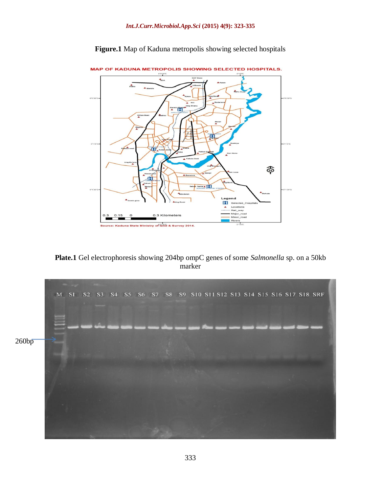

**Figure.1** Map of Kaduna metropolis showing selected hospitals



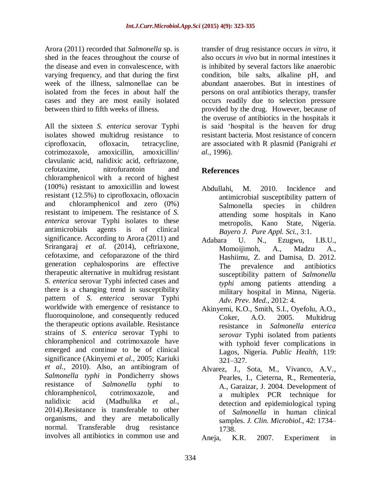Arora (2011) recorded that *Salmonella* sp. is shed in the feaces throughout the course of the disease and even in convalescence, with varying frequency, and that during the first week of the illness, salmonellae can be isolated from the feces in about half the cases and they are most easily isolated between third to fifth weeks of illness.

All the sixteen *S. enterica* serovar Typhi isolates showed multidrug resistance to ciprofloxacin, ofloxacin, tetracycline, cotrimozaxole, amoxicillin, amoxicillin/ clavulanic acid, nalidixic acid, ceftriazone, cefotaxime, nitrofurantoin and chloramphenicol with a record of highest (100%) resistant to amoxicillin and lowest resistant (12.5%) to ciprofloxacin, ofloxacin and chloramphenicol and zero (0%) resistant to imipenem. The resistance of *S. enterica* serovar Typhi isolates to these antimicrobials agents is of clinical significance. According to Arora (2011) and Srirangaraj *et al.* (2014), ceftriaxone, cefotaxime, and cefoparazone of the third generation cephalosporins are effective therapeutic alternative in multidrug resistant *S. enterica* serovar Typhi infected cases and there is a changing trend in susceptibility pattern of *S. enterica* serovar Typhi worldwide with emergence of resistance to fluoroquinolone, and consequently reduced the therapeutic options available. Resistance strains of *S. enterica* serovar Typhi to chloramphenicol and cotrimoxazole have emerged and continue to be of clinical significance (Akinyemi *et al.,* 2005; Kariuki *et al.,* 2010). Also, an antibiogram of *Salmonella typhi* in Pondicherry shows resistance of *Salmonella typhi* to chloramphenicol, cotrimoxazole, and nalidixic acid (Madhulika *et al.,* 2014).Resistance is transferable to other organisms, and they are metabolically normal. Transferable drug resistance involves all antibiotics in common use and

transfer of drug resistance occurs *in vitro*, it also occurs *in vivo* but in normal intestines it is inhibited by several factors like anaerobic condition, bile salts, alkaline pH, and abundant anaerobes. But in intestines of persons on oral antibiotics therapy, transfer occurs readily due to selection pressure provided by the drug. However, because of the overuse of antibiotics in the hospitals it is said 'hospital is the heaven for drug resistant bacteria. Most resistance of concern are associated with R plasmid (Panigrahi *et al.,* 1996).

# **References**

- Abdullahi, M. 2010. Incidence and antimicrobial susceptibility pattern of Salmonella species in children attending some hospitals in Kano metropolis, Kano State, Nigeria. *Bayero J. Pure Appl. Sci.,* 3:1.
- Adabara U. N., Ezugwu, I.B.U., Momoijimoh, A., Madzu A., Hashiimu, Z. and Damisa, D. 2012. The prevalence and antibiotics susceptibility pattern of *Salmonella typhi* among patients attending a military hospital in Minna, Nigeria. *Adv. Prev. Med.,* 2012: 4.
- Akinyemi, K.O., Smith, S.I., Oyefolu, A.O., Coker, A.O. 2005. Multidrug resistance in *Salmonella enterica serovar* Typhi isolated from patients with typhoid fever complications in Lagos, Nigeria. *Public Health,* 119: 321–327.
- Alvarez, J., Sota, M., Vivanco, A.V., Pearles, I., Cieterna, R., Rementeria, A., Garaizar, J. 2004. Development of a multiplex PCR technique for detection and epidemiological typing of *Salmonella* in human clinical samples. *J. Clin. Microbiol.,* 42: 1734– 1738.

Aneja, K.R. 2007. Experiment in